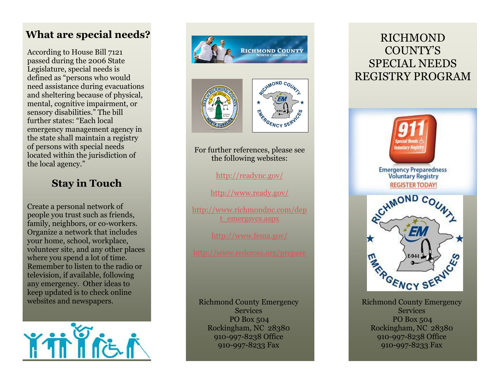## **What are special needs?**

According to House Bill 7121 passed during the 2006 State Legislature, special needs is defined as "persons who would need assistance during evacuations and sheltering because of physical, mental, cognitive impairment, or sensory disabilities." The bill further states: "Each local emergency management agency in the state shall maintain a registry of persons with special needs located within the jurisdiction of the local agency."

## **Stay in Touch**

Create a personal network of people you trust such as friends, family, neighbors, or co -workers. Organize a network that includes your home, school, workplace, volunteer site, and any other places where you spend a lot of time. Remember to listen to the radio or television, if available, following any emergency. Other ideas to keep updated is to check online websites and newspapers.







For further references, please see the following websites:

<http://readync.gov/>

<http://www.ready.gov/>

[http://www.richmondnc.com/dep](http://www.richmondnc.com/dept_emergsvcs.aspx) [t\\_emergsvcs.aspx](http://www.richmondnc.com/dept_emergsvcs.aspx)

<http://www.fema.gov/>

Richmond County Emergency **Services**  PO Box 504 Rockingham, NC 28380 910 -997 -8238 Office 910 -99 7 -8233 Fax

# RICHMOND COUNTY'S SPECIAL NEEDS REGISTRY PROGRAM



Richmond County Emergency Service s PO Box 504 Rockingham, NC 28380 910 -997 -8238 Office 910-997-8233 Fax